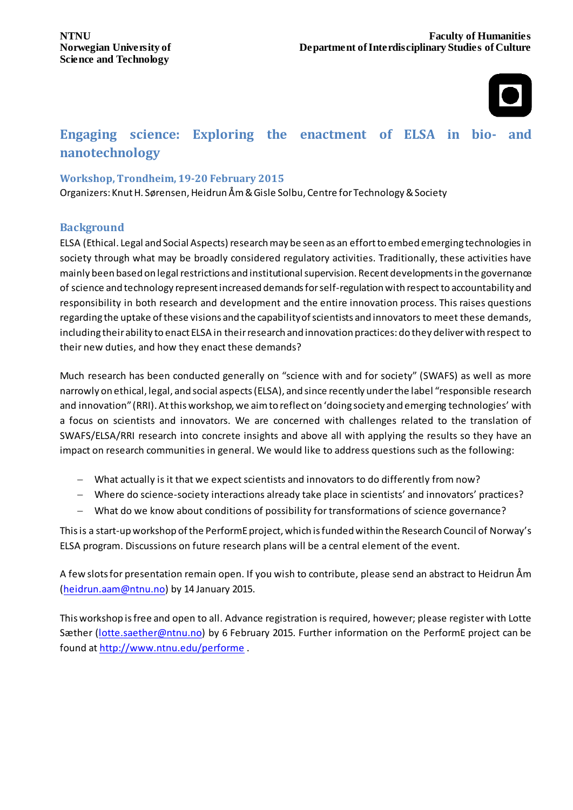

# **Engaging science: Exploring the enactment of ELSA in bio- and nanotechnology**

### **Workshop, Trondheim, 19-20 February 2015**

Organizers: Knut H. Sørensen, Heidrun Åm& Gisle Solbu, Centre for Technology & Society

### **Background**

ELSA (Ethical. Legal and Social Aspects) research may be seen as an effort to embed emerging technologies in society through what may be broadly considered regulatory activities. Traditionally, these activities have mainly been based on legal restrictions and institutional supervision. Recent developments in the governance of science and technology represent increased demands for self-regulation with respect to accountability and responsibility in both research and development and the entire innovation process. This raises questions regarding the uptake of these visions and the capability of scientists and innovators to meet these demands, including their ability to enact ELSA in their research and innovation practices: do they deliver with respect to their new duties, and how they enact these demands?

Much research has been conducted generally on "science with and for society" (SWAFS) as well as more narrowly on ethical, legal, and social aspects (ELSA), and since recently under the label "responsible research and innovation" (RRI). At this workshop, we aim to reflect on 'doing society and emerging technologies' with a focus on scientists and innovators. We are concerned with challenges related to the translation of SWAFS/ELSA/RRI research into concrete insights and above all with applying the results so they have an impact on research communities in general. We would like to address questions such as the following:

- − What actually is it that we expect scientists and innovators to do differently from now?
- − Where do science-society interactions already take place in scientists' and innovators' practices?
- − What do we know about conditions of possibility for transformations of science governance?

This is a start-up workshop of the PerformE project, which is funded within the Research Council of Norway's ELSA program. Discussions on future research plans will be a central element of the event.

A few slots for presentation remain open. If you wish to contribute, please send an abstract to Heidrun Åm [\(heidrun.aam@ntnu.no](mailto:heidrun.aam@ntnu.no)) by 14 January 2015.

This workshop is free and open to all. Advance registration is required, however; please register with Lotte Sæther [\(lotte.saether@ntnu.no](mailto:lotte.saether@ntnu.no)) by 6 February 2015. Further information on the PerformE project can be found a[t http://www.ntnu.edu/performe](http://www.ntnu.edu/performe) .